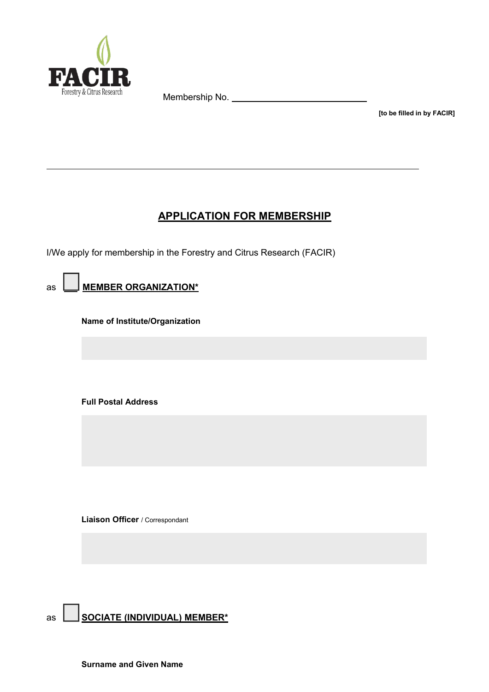

Membership No.

**[to be filled in by FACIR]**

# **APPLICATION FOR MEMBERSHIP**

I/We apply for membership in the Forestry and Citrus Research (FACIR)

as  $\boxed{\phantom{1}}$  **MEMBER ORGANIZATION**\*

**Name of Institute/Organization**

**Full Postal Address**

**Liaison Officer** / Correspondant

as **AS SOCIATE (INDIVIDUAL) MEMBER\***

**Surname and Given Name**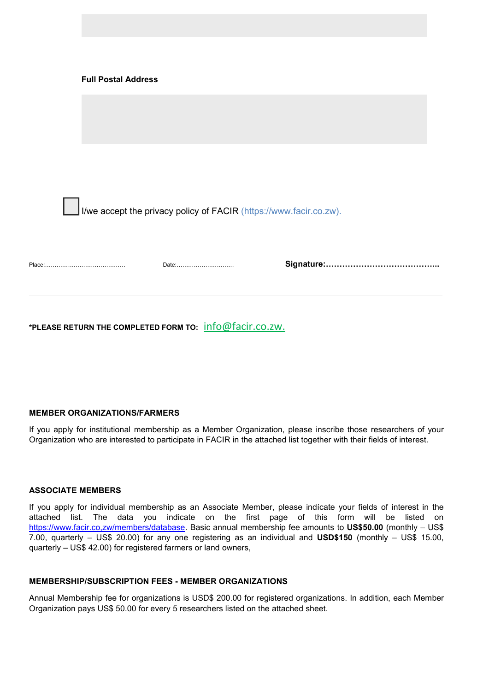|                                                                    | <b>Full Postal Address</b> |       |  |  |  |  |
|--------------------------------------------------------------------|----------------------------|-------|--|--|--|--|
|                                                                    |                            |       |  |  |  |  |
|                                                                    |                            |       |  |  |  |  |
| I/we accept the privacy policy of FACIR (https://www.facir.co.zw). |                            |       |  |  |  |  |
|                                                                    |                            | Date: |  |  |  |  |

**\*PLEASE RETURN THE COMPLETED FORM TO:** info@facir.co.zw.

## **MEMBER ORGANIZATIONS/FARMERS**

If you apply for institutional membership as a Member Organization, please inscribe those researchers of your Organization who are interested to participate in FACIR in the attached list together with their fields of interest.

### **ASSOCIATE MEMBERS**

If you apply for individual membership as an Associate Member, please indícate your fields of interest in the attached list. The data you indicate on the first page of this form will be listed on <https://www.facir.co,zw/members/>database. Basic annual membership fee amounts to **US\$50.00** (monthly – US\$ 7.00, quarterly – US\$ 20.00) for any one registering as an individual and **USD\$150** (monthly – US\$ 15.00, quarterly – US\$ 42.00) for registered farmers or land owners,

#### **MEMBERSHIP/SUBSCRIPTION FEES - MEMBER ORGANIZATIONS**

Annual Membership fee for organizations is USD\$ 200.00 for registered organizations. In addition, each Member Organization pays US\$ 50.00 for every 5 researchers listed on the attached sheet.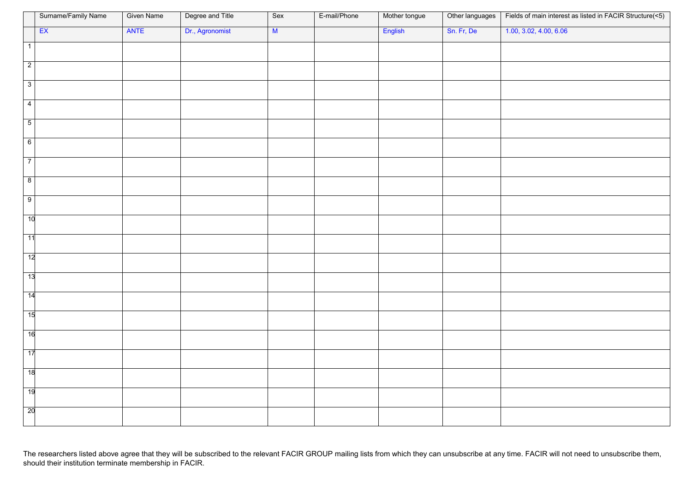|                 | Surname/Family Name | <b>Given Name</b> | Degree and Title | Sex | E-mail/Phone | Mother tongue | Other languages | Fields of main interest as listed in FACIR Structure(<5) |
|-----------------|---------------------|-------------------|------------------|-----|--------------|---------------|-----------------|----------------------------------------------------------|
|                 | EX                  | ANTE              | Dr., Agronomist  | M   |              | English       | Sn. Fr, De      | 1.00, 3.02, 4.00, 6.06                                   |
| $\overline{1}$  |                     |                   |                  |     |              |               |                 |                                                          |
| $\overline{2}$  |                     |                   |                  |     |              |               |                 |                                                          |
| $\overline{3}$  |                     |                   |                  |     |              |               |                 |                                                          |
|                 |                     |                   |                  |     |              |               |                 |                                                          |
| $\overline{4}$  |                     |                   |                  |     |              |               |                 |                                                          |
| $\overline{5}$  |                     |                   |                  |     |              |               |                 |                                                          |
| 6               |                     |                   |                  |     |              |               |                 |                                                          |
|                 |                     |                   |                  |     |              |               |                 |                                                          |
| $\overline{7}$  |                     |                   |                  |     |              |               |                 |                                                          |
| $\overline{8}$  |                     |                   |                  |     |              |               |                 |                                                          |
| $\overline{9}$  |                     |                   |                  |     |              |               |                 |                                                          |
| 10              |                     |                   |                  |     |              |               |                 |                                                          |
|                 |                     |                   |                  |     |              |               |                 |                                                          |
| 11              |                     |                   |                  |     |              |               |                 |                                                          |
| $\overline{12}$ |                     |                   |                  |     |              |               |                 |                                                          |
| 13              |                     |                   |                  |     |              |               |                 |                                                          |
| $\overline{14}$ |                     |                   |                  |     |              |               |                 |                                                          |
|                 |                     |                   |                  |     |              |               |                 |                                                          |
| $\overline{15}$ |                     |                   |                  |     |              |               |                 |                                                          |
| 16              |                     |                   |                  |     |              |               |                 |                                                          |
| $\overline{17}$ |                     |                   |                  |     |              |               |                 |                                                          |
|                 |                     |                   |                  |     |              |               |                 |                                                          |
| 18              |                     |                   |                  |     |              |               |                 |                                                          |
| $\overline{19}$ |                     |                   |                  |     |              |               |                 |                                                          |
| $\overline{20}$ |                     |                   |                  |     |              |               |                 |                                                          |
|                 |                     |                   |                  |     |              |               |                 |                                                          |

The researchers listed above agree that they will be subscribed to the relevant FACIR GROUP mailing lists from which they can unsubscribe at any time. FACIR will not need to unsubscribe them, should their institution terminate membership in FACIR.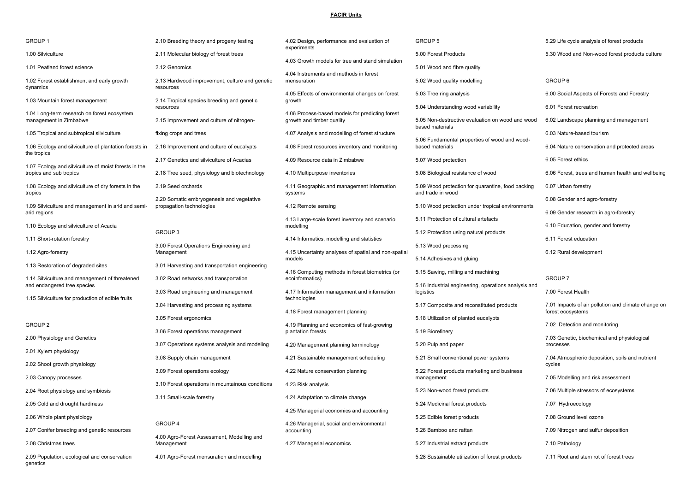#### **FACIR Units**

| GROUP <sub>1</sub>                                                            | 2.10 Breeding theory and progeny testing                              | 4.02 Design, performance and evaluation of                                   | GROUP 5                                                                                    | 5.29 Life cycle analysis of forest products                              |
|-------------------------------------------------------------------------------|-----------------------------------------------------------------------|------------------------------------------------------------------------------|--------------------------------------------------------------------------------------------|--------------------------------------------------------------------------|
| 1.00 Silviculture                                                             | 2.11 Molecular biology of forest trees                                | experiments                                                                  | 5.00 Forest Products                                                                       | 5.30 Wood and Non-wood forest products culture                           |
| 1.01 Peatland forest science                                                  | 2.12 Genomics                                                         | 4.03 Growth models for tree and stand simulation                             | 5.01 Wood and fibre quality                                                                |                                                                          |
| 1.02 Forest establishment and early growth<br>dynamics                        | 2.13 Hardwood improvement, culture and genetic<br>resources           | 4.04 Instruments and methods in forest<br>mensuration                        | 5.02 Wood quality modelling                                                                | GROUP 6                                                                  |
| 1.03 Mountain forest management                                               | 2.14 Tropical species breeding and genetic<br>resources               | 4.05 Effects of environmental changes on forest<br>growth                    | 5.03 Tree ring analysis<br>5.04 Understanding wood variability                             | 6.00 Social Aspects of Forests and Forestry<br>6.01 Forest recreation    |
| 1.04 Long-term research on forest ecosystem<br>management in Zimbabwe         | 2.15 Improvement and culture of nitrogen-                             | 4.06 Process-based models for predicting forest<br>growth and timber quality | 5.05 Non-destructive evaluation on wood and wood                                           | 6.02 Landscape planning and management                                   |
| 1.05 Tropical and subtropical silviculture                                    | fixing crops and trees                                                | 4.07 Analysis and modelling of forest structure                              | based materials                                                                            | 6.03 Nature-based tourism                                                |
| 1.06 Ecology and silviculture of plantation forests in<br>the tropics         | 2.16 Improvement and culture of eucalypts                             | 4.08 Forest resources inventory and monitoring                               | 5.06 Fundamental properties of wood and wood-<br>based materials                           | 6.04 Nature conservation and protected areas                             |
| 1.07 Ecology and silviculture of moist forests in the                         | 2.17 Genetics and silviculture of Acacias                             | 4.09 Resource data in Zimbabwe                                               | 5.07 Wood protection                                                                       | 6.05 Forest ethics                                                       |
| tropics and sub tropics                                                       | 2.18 Tree seed, physiology and biotechnology                          | 4.10 Multipurpose inventories                                                | 5.08 Biological resistance of wood                                                         | 6.06 Forest, trees and human health and wellbeing                        |
| 1.08 Ecology and silviculture of dry forests in the<br>tropics                | 2.19 Seed orchards                                                    | 4.11 Geographic and management information<br>systems                        | 5.09 Wood protection for quarantine, food packing<br>and trade in wood                     | 6.07 Urban forestry                                                      |
| 1.09 Silviculture and management in arid and semi-                            | 2.20 Somatic embryogenesis and vegetative<br>propagation technologies | 4.12 Remote sensing                                                          | 5.10 Wood protection under tropical environments                                           | 6.08 Gender and agro-forestry                                            |
| arid regions                                                                  |                                                                       | 4.13 Large-scale forest inventory and scenario                               | 5.11 Protection of cultural artefacts                                                      | 6.09 Gender research in agro-forestry                                    |
| 1.10 Ecology and silviculture of Acacia                                       | GROUP 3                                                               | modelling                                                                    | 5.12 Protection using natural products                                                     | 6.10 Education, gender and forestry                                      |
| 1.11 Short-rotation forestry                                                  | 3.00 Forest Operations Engineering and                                | 4.14 Informatics, modelling and statistics                                   | 5.13 Wood processing                                                                       | 6.11 Forest education                                                    |
| 1.12 Agro-forestry                                                            | Management                                                            | 4.15 Uncertainty analyses of spatial and non-spatial                         |                                                                                            | 6.12 Rural development                                                   |
| 1.13 Restoration of degraded sites                                            | 3.01 Harvesting and transportation engineering                        | models                                                                       | 5.14 Adhesives and gluing                                                                  |                                                                          |
| 1.14 Silviculture and management of threatened<br>and endangered tree species | 3.02 Road networks and transportation                                 | 4.16 Computing methods in forest biometrics (or<br>ecoinformatics)           | 5.15 Sawing, milling and machining<br>5.16 Industrial engineering, operations analysis and | GROUP 7                                                                  |
| 1.15 Silviculture for production of edible fruits                             | 3.03 Road engineering and management                                  | 4.17 Information management and information<br>technologies                  | logistics                                                                                  | 7.00 Forest Health                                                       |
|                                                                               | 3.04 Harvesting and processing systems                                | 4.18 Forest management planning                                              | 5.17 Composite and reconstituted products                                                  | 7.01 Impacts of air pollution and climate change on<br>forest ecosystems |
| GROUP <sub>2</sub>                                                            | 3.05 Forest ergonomics                                                | 4.19 Planning and economics of fast-growing                                  | 5.18 Utilization of planted eucalypts                                                      | 7.02 Detection and monitoring                                            |
| 2.00 Physiology and Genetics                                                  | 3.06 Forest operations management                                     | plantation forests                                                           | 5.19 Biorefinery                                                                           | 7.03 Genetic, biochemical and physiological                              |
| 2.01 Xylem physiology                                                         | 3.07 Operations systems analysis and modeling                         | 4.20 Management planning terminology                                         | 5.20 Pulp and paper                                                                        | processes                                                                |
| 2.02 Shoot growth physiology                                                  | 3.08 Supply chain management                                          | 4.21 Sustainable management scheduling                                       | 5.21 Small conventional power systems                                                      | 7.04 Atmospheric deposition, soils and nutrient<br>cycles                |
| 2.03 Canopy processes                                                         | 3.09 Forest operations ecology                                        | 4.22 Nature conservation planning                                            | 5.22 Forest products marketing and business<br>management                                  | 7.05 Modelling and risk assessment                                       |
| 2.04 Root physiology and symbiosis                                            | 3.10 Forest operations in mountainous conditions                      | 4.23 Risk analysis                                                           | 5.23 Non-wood forest products                                                              | 7.06 Multiple stressors of ecosystems                                    |
| 2.05 Cold and drought hardiness                                               | 3.11 Small-scale forestry                                             | 4.24 Adaptation to climate change                                            | 5.24 Medicinal forest products                                                             | 7.07 Hydroecology                                                        |
| 2.06 Whole plant physiology                                                   |                                                                       | 4.25 Managerial economics and accounting                                     | 5.25 Edible forest products                                                                | 7.08 Ground level ozone                                                  |
| 2.07 Conifer breeding and genetic resources                                   | GROUP 4                                                               | 4.26 Managerial, social and environmental                                    | 5.26 Bamboo and rattan                                                                     | 7.09 Nitrogen and sulfur deposition                                      |
|                                                                               | 4.00 Agro-Forest Assessment, Modelling and                            | accounting                                                                   |                                                                                            |                                                                          |
| 2.08 Christmas trees                                                          | Management                                                            | 4.27 Managerial economics                                                    | 5.27 Industrial extract products                                                           | 7.10 Pathology                                                           |
| 2.09 Population, ecological and conservation<br>genetics                      | 4.01 Agro-Forest mensuration and modelling                            |                                                                              | 5.28 Sustainable utilization of forest products                                            | 7.11 Root and stem rot of forest trees                                   |